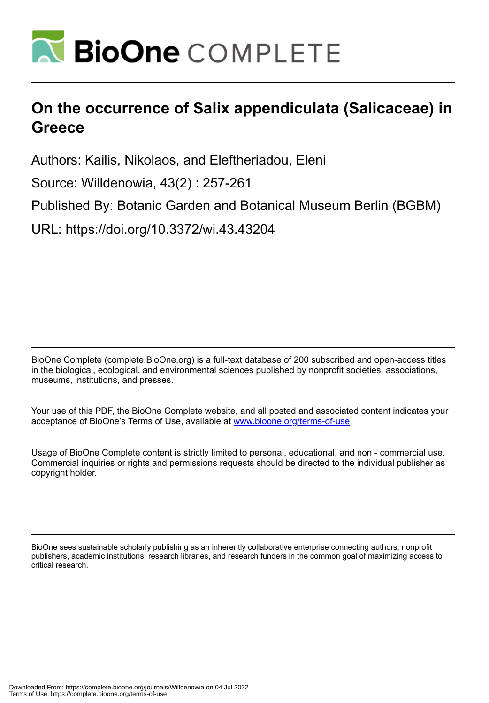

# **On the occurrence of Salix appendiculata (Salicaceae) in Greece**

Authors: Kailis, Nikolaos, and Eleftheriadou, Eleni

Source: Willdenowia, 43(2) : 257-261

Published By: Botanic Garden and Botanical Museum Berlin (BGBM)

URL: https://doi.org/10.3372/wi.43.43204

BioOne Complete (complete.BioOne.org) is a full-text database of 200 subscribed and open-access titles in the biological, ecological, and environmental sciences published by nonprofit societies, associations, museums, institutions, and presses.

Your use of this PDF, the BioOne Complete website, and all posted and associated content indicates your acceptance of BioOne's Terms of Use, available at www.bioone.org/terms-of-use.

Usage of BioOne Complete content is strictly limited to personal, educational, and non - commercial use. Commercial inquiries or rights and permissions requests should be directed to the individual publisher as copyright holder.

BioOne sees sustainable scholarly publishing as an inherently collaborative enterprise connecting authors, nonprofit publishers, academic institutions, research libraries, and research funders in the common goal of maximizing access to critical research.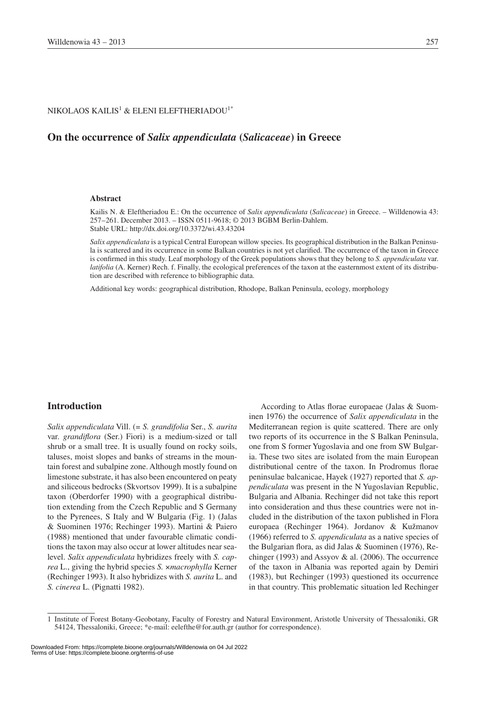### NIKOLAOS KAILIS $^{\rm l}$  & ELENI ELEFTHERIADOU $^{\rm l}^*$

# **On the occurrence of** *Salix appendiculata* **(***Salicaceae***) in Greece**

#### **Abstract**

Kailis N. & Eleftheriadou E.: On the occurrence of *Salix appendiculata* (*Salicaceae*) in Greece. – Willdenowia 43: 257 – 261. December 2013. – ISSN 0511-9618; © 2013 BGBM Berlin-Dahlem. Stable URL: http://dx.doi.org/10.3372/wi.43.43204

*Salix appendiculata* is a typical Central European willow species. Its geographical distribution in the Balkan Peninsula is scattered and its occurrence in some Balkan countries is not yet clarified. The occurrence of the taxon in Greece is confirmed in this study. Leaf morphology of the Greek populations shows that they belong to *S. appendiculata* var. *latifolia* (A. Kerner) Rech. f. Finally, the ecological preferences of the taxon at the easternmost extent of its distribution are described with reference to bibliographic data.

Additional key words: geographical distribution, Rhodope, Balkan Peninsula, ecology, morphology

#### **Introduction**

*Salix appendiculata* Vill. (= *S. grandifolia* Ser., *S. aurita*  var. *grandiflora* (Ser.) Fiori) is a medium-sized or tall shrub or a small tree. It is usually found on rocky soils, taluses, moist slopes and banks of streams in the mountain forest and subalpine zone. Although mostly found on limestone substrate, it has also been encountered on peaty and siliceous bedrocks (Skvortsov 1999). It is a subalpine taxon (Oberdorfer 1990) with a geographical distribution extending from the Czech Republic and S Germany to the Pyrenees, S Italy and W Bulgaria (Fig. 1) (Jalas & Suominen 1976; Rechinger 1993). Martini & Paiero (1988) mentioned that under favourable climatic conditions the taxon may also occur at lower altitudes near sealevel. *Salix appendiculata* hybridizes freely with *S. caprea* L., giving the hybrid species *S.* ×*macrophylla* Kerner (Rechinger 1993). It also hybridizes with *S. aurita* L. and *S. cinerea* L. (Pignatti 1982).

According to Atlas florae europaeae (Jalas & Suominen 1976) the occurrence of *Salix appendiculata* in the Mediterranean region is quite scattered. There are only two reports of its occurrence in the S Balkan Peninsula, one from S former Yugoslavia and one from SW Bulgaria. These two sites are isolated from the main European distributional centre of the taxon. In Prodromus florae peninsulae balcanicae, Hayek (1927) reported that *S. appendiculata* was present in the N Yugoslavian Republic, Bulgaria and Albania. Rechinger did not take this report into consideration and thus these countries were not included in the distribution of the taxon published in Flora europaea (Rechinger 1964). Jordanov & Kužmanov (1966) referred to *S. appendiculata* as a native species of the Bulgarian flora, as did Jalas & Suominen (1976), Rechinger (1993) and Assyov  $\&$  al. (2006). The occurrence of the taxon in Albania was reported again by Demiri (1983), but Rechinger (1993) questioned its occurrence in that country. This problematic situation led Rechinger

<sup>1</sup> Institute of Forest Botany-Geobotany, Faculty of Forestry and Natural Environment, Aristotle University of Thessaloniki, GR 54124, Thessaloniki, Greece; \*e-mail: eelefthe@for.auth.gr (author for correspondence).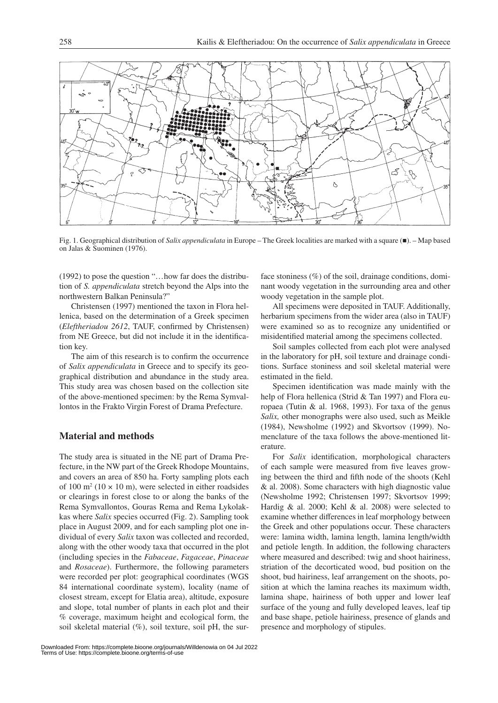

Fig. 1. Geographical distribution of *Salix appendiculata* in Europe – The Greek localities are marked with a square (n). – Map based on Jalas & Suominen (1976).

(1992) to pose the question "…how far does the distribution of *S. appendiculata* stretch beyond the Alps into the northwestern Balkan Peninsula?"

Christensen (1997) mentioned the taxon in Flora hellenica, based on the determination of a Greek specimen (*Eleftheriadou 2612*, TAUF, confirmed by Christensen) from NE Greece, but did not include it in the identification key.

The aim of this research is to confirm the occurrence of *Salix appendiculata* in Greece and to specify its geographical distribution and abundance in the study area. This study area was chosen based on the collection site of the above-mentioned specimen: by the Rema Symvallontos in the Frakto Virgin Forest of Drama Prefecture.

# **Material and methods**

The study area is situated in the NE part of Drama Prefecture, in the NW part of the Greek Rhodope Mountains, and covers an area of 850 ha. Forty sampling plots each of 100  $\text{m}^2$  (10  $\times$  10 m), were selected in either roadsides or clearings in forest close to or along the banks of the Rema Symvallontos, Gouras Rema and Rema Lykolakkas where *Salix* species occurred (Fig. 2). Sampling took place in August 2009, and for each sampling plot one individual of every *Salix* taxon was collected and recorded, along with the other woody taxa that occurred in the plot (including species in the *Fabaceae*, *Fagaceae*, *Pinaceae* and *Rosaceae*). Furthermore, the following parameters were recorded per plot: geographical coordinates (WGS 84 international coordinate system), locality (name of closest stream, except for Elatia area), altitude, exposure and slope, total number of plants in each plot and their % coverage, maximum height and ecological form, the soil skeletal material  $(\%)$ , soil texture, soil pH, the sur-

face stoniness (%) of the soil, drainage conditions, dominant woody vegetation in the surrounding area and other woody vegetation in the sample plot.

All specimens were deposited in TAUF. Additionally, herbarium specimens from the wider area (also in TAUF) were examined so as to recognize any unidentified or misidentified material among the specimens collected.

Soil samples collected from each plot were analysed in the laboratory for pH, soil texture and drainage conditions. Surface stoniness and soil skeletal material were estimated in the field.

Specimen identification was made mainly with the help of Flora hellenica (Strid & Tan 1997) and Flora europaea (Tutin & al. 1968, 1993). For taxa of the genus *Salix,* other monographs were also used, such as Meikle (1984), Newsholme (1992) and Skvortsov (1999). Nomenclature of the taxa follows the above-mentioned literature.

For *Salix* identification, morphological characters of each sample were measured from five leaves growing between the third and fifth node of the shoots (Kehl & al. 2008). Some characters with high diagnostic value (Newsholme 1992; Christensen 1997; Skvortsov 1999; Hardig & al. 2000; Kehl & al. 2008) were selected to examine whether differences in leaf morphology between the Greek and other populations occur. These characters were: lamina width, lamina length, lamina length/width and petiole length. In addition, the following characters where measured and described: twig and shoot hairiness, striation of the decorticated wood, bud position on the shoot, bud hairiness, leaf arrangement on the shoots, position at which the lamina reaches its maximum width, lamina shape, hairiness of both upper and lower leaf surface of the young and fully developed leaves, leaf tip and base shape, petiole hairiness, presence of glands and presence and morphology of stipules.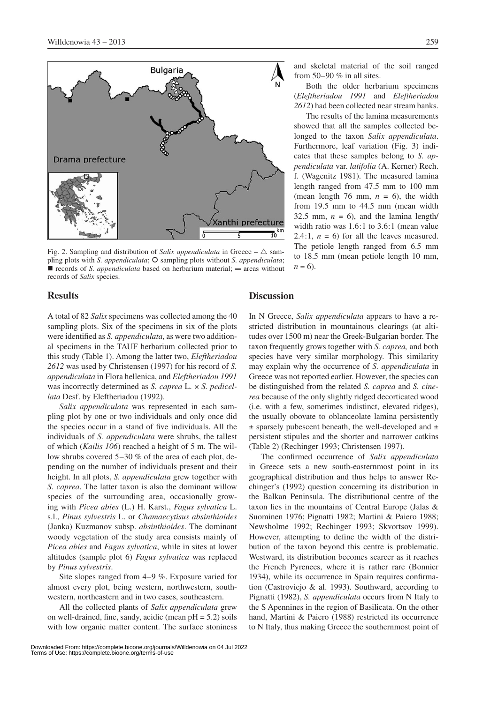

Fig. 2. Sampling and distribution of *Salix appendiculata* in Greece –  $\triangle$  sampling plots with *S. appendiculata*; *O* sampling plots without *S. appendiculata*; ■ records of *S. appendiculata* based on herbarium material; — areas without records of *Salix* species.

# **Results**

A total of 82 *Salix* specimens was collected among the 40 sampling plots. Six of the specimens in six of the plots were identified as *S. appendiculata*, as were two additional specimens in the TAUF herbarium collected prior to this study (Table 1). Among the latter two, *Eleftheriadou 2612* was used by Christensen (1997) for his record of *S. appendiculata* in Flora hellenica, and *Eleftheriadou 1991* was incorrectly determined as *S. caprea* L. × *S. pedicellata* Desf. by Eleftheriadou (1992).

*Salix appendiculata* was represented in each sampling plot by one or two individuals and only once did the species occur in a stand of five individuals. All the individuals of *S. appendiculata* were shrubs, the tallest of which (*Kailis 106*) reached a height of 5 m. The willow shrubs covered 5–30 % of the area of each plot, depending on the number of individuals present and their height. In all plots, *S. appendiculata* grew together with *S. caprea*. The latter taxon is also the dominant willow species of the surrounding area, occasionally growing with *Picea abies* (L.) H. Karst., *Fagus sylvatica* L. s.l., *Pinus sylvestris* L. or *Chamaecytisus absinthioides* (Janka) Kuzmanov subsp. *absinthioides*. The dominant woody vegetation of the study area consists mainly of *Picea abies* and *Fagus sylvatica*, while in sites at lower altitudes (sample plot 6) *Fagus sylvatica* was replaced by *Pinus sylvestris*.

Site slopes ranged from 4–9 %. Exposure varied for almost every plot, being western, northwestern, southwestern, northeastern and in two cases, southeastern.

All the collected plants of *Salix appendiculata* grew on well-drained, fine, sandy, acidic (mean  $pH = 5.2$ ) soils with low organic matter content. The surface stoniness

#### **Discussion**

 $n = 6$ ).

In N Greece, *Salix appendiculata* appears to have a restricted distribution in mountainous clearings (at altitudes over 1500 m) near the Greek-Bulgarian border. The taxon frequently grows together with *S. caprea,* and both species have very similar morphology. This similarity may explain why the occurrence of *S. appendiculata* in Greece was not reported earlier. However, the species can be distinguished from the related *S. caprea* and *S. cinerea* because of the only slightly ridged decorticated wood (i.e. with a few, sometimes indistinct, elevated ridges), the usually obovate to oblanceolate lamina persistently ± sparsely pubescent beneath, the well-developed and ± persistent stipules and the shorter and narrower catkins (Table 2) (Rechinger 1993; Christensen 1997).

The confirmed occurrence of *Salix appendiculata*  in Greece sets a new south-easternmost point in its geographical distribution and thus helps to answer Rechinger's (1992) question concerning its distribution in the Balkan Peninsula. The distributional centre of the taxon lies in the mountains of Central Europe (Jalas & Suominen 1976; Pignatti 1982; Martini & Paiero 1988; Newsholme 1992; Rechinger 1993; Skvortsov 1999). However, attempting to define the width of the distribution of the taxon beyond this centre is problematic. Westward, its distribution becomes scarcer as it reaches the French Pyrenees, where it is rather rare (Bonnier 1934), while its occurrence in Spain requires confirmation (Castroviejo & al. 1993). Southward, according to Pignatti (1982), *S. appendiculata* occurs from N Italy to the S Apennines in the region of Basilicata. On the other hand, Martini & Paiero (1988) restricted its occurrence to N Italy, thus making Greece the southernmost point of

Both the older herbarium specimens

The results of the lamina measurements

to 18.5 mm (mean petiole length 10 mm,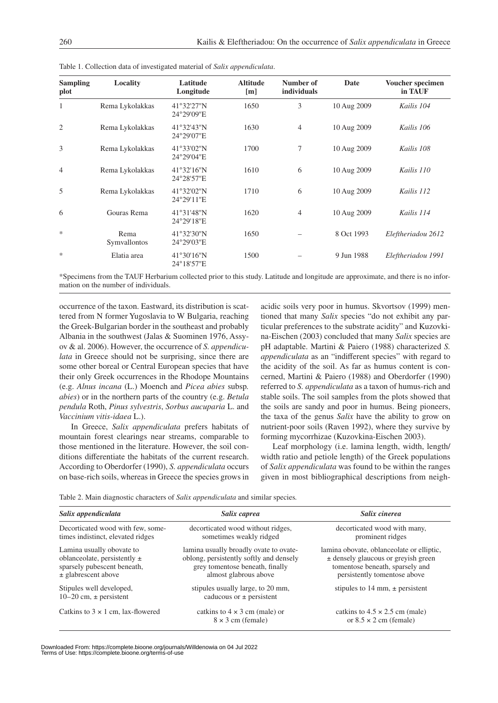| <b>Sampling</b><br>plot | Locality             | Latitude<br>Longitude    | <b>Altitude</b><br>[m] | Number of<br>individuals | Date        | Voucher specimen<br>in TAUF |
|-------------------------|----------------------|--------------------------|------------------------|--------------------------|-------------|-----------------------------|
| 1                       | Rema Lykolakkas      | 41°32'27"N<br>24°29′09″E | 1650                   | 3                        | 10 Aug 2009 | Kailis 104                  |
| $\mathfrak{2}$          | Rema Lykolakkas      | 41°32'43"N<br>24°29'07"E | 1630                   | $\overline{4}$           | 10 Aug 2009 | Kailis 106                  |
| 3                       | Rema Lykolakkas      | 41°33'02"N<br>24°29'04"E | 1700                   | 7                        | 10 Aug 2009 | Kailis 108                  |
| 4                       | Rema Lykolakkas      | 41°32'16"N<br>24°28'57"E | 1610                   | 6                        | 10 Aug 2009 | Kailis 110                  |
| 5                       | Rema Lykolakkas      | 41°32′02″N<br>24°29'11"E | 1710                   | 6                        | 10 Aug 2009 | Kailis 112                  |
| 6                       | Gouras Rema          | 41°31'48"N<br>24°29'18"E | 1620                   | $\overline{4}$           | 10 Aug 2009 | Kailis 114                  |
| *                       | Rema<br>Symvallontos | 41°32'30"N<br>24°29'03"E | 1650                   |                          | 8 Oct 1993  | Eleftheriadou 2612          |
| *                       | Elatia area          | 41°30'16"N<br>24°18'57"E | 1500                   |                          | 9 Jun 1988  | Eleftheriadou 1991          |

Table 1. Collection data of investigated material of *Salix appendiculata*.

\*Specimens from the TAUF Herbarium collected prior to this study. Latitude and longitude are approximate, and there is no information on the number of individuals.

occurrence of the taxon. Eastward, its distribution is scattered from N former Yugoslavia to W Bulgaria, reaching the Greek-Bulgarian border in the southeast and probably Albania in the southwest (Jalas & Suominen 1976, Assyov & al. 2006). However, the occurrence of *S. appendiculata* in Greece should not be surprising, since there are some other boreal or Central European species that have their only Greek occurrences in the Rhodope Mountains (e.g. *Alnus incana* (L.) Moench and *Picea abies* subsp*. abies*) or in the northern parts of the country (e.g. *Betula pendula* Roth, *Pinus sylvestris*, *Sorbus aucuparia* L. and *Vaccinium vitis-idaea* L.).

In Greece, *Salix appendiculata* prefers habitats of mountain forest clearings near streams, comparable to those mentioned in the literature. However, the soil conditions differentiate the habitats of the current research. According to Oberdorfer (1990), *S. appendiculata* occurs on base-rich soils, whereas in Greece the species grows in

acidic soils very poor in humus. Skvortsov (1999) mentioned that many *Salix* species "do not exhibit any particular preferences to the substrate acidity" and Kuzovkina-Eischen (2003) concluded that many *Salix* species are pH adaptable. Martini & Paiero (1988) characterized *S. appendiculata* as an "indifferent species" with regard to the acidity of the soil. As far as humus content is concerned, Martini & Paiero (1988) and Oberdorfer (1990) referred to *S. appendiculata* as a taxon of humus-rich and stable soils. The soil samples from the plots showed that the soils are sandy and poor in humus. Being pioneers, the taxa of the genus *Salix* have the ability to grow on nutrient-poor soils (Raven 1992), where they survive by forming mycorrhizae (Kuzovkina-Eischen 2003).

Leaf morphology (i.e. lamina length, width, length/ width ratio and petiole length) of the Greek populations of *Salix appendiculata* was found to be within the ranges given in most bibliographical descriptions from neigh-

Table 2. Main diagnostic characters of *Salix appendiculata* and similar species*.*

| Salix appendiculata                                                                                                     | Salix caprea                                                                                                                                  | Salix cinerea                                                                                                                                            |  |
|-------------------------------------------------------------------------------------------------------------------------|-----------------------------------------------------------------------------------------------------------------------------------------------|----------------------------------------------------------------------------------------------------------------------------------------------------------|--|
| Decorticated wood with few, some-<br>times indistinct, elevated ridges                                                  | decorticated wood without ridges,<br>sometimes weakly ridged                                                                                  | decorticated wood with many,<br>prominent ridges                                                                                                         |  |
| Lamina usually obovate to<br>oblanceolate, persistently $\pm$<br>sparsely pubescent beneath,<br>$\pm$ glabrescent above | lamina usually broadly ovate to ovate-<br>oblong, persistently softly and densely<br>grey tomentose beneath, finally<br>almost glabrous above | lamina obovate, oblanceolate or elliptic,<br>$\pm$ densely glaucous or grey ish green<br>tomentose beneath, sparsely and<br>persistently tomentose above |  |
| Stipules well developed,<br>$10-20$ cm, $\pm$ persistent                                                                | stipules usually large, to 20 mm,<br>caducous or $\pm$ persistent                                                                             | stipules to 14 mm, $\pm$ persistent                                                                                                                      |  |
| Catkins to $3 \times 1$ cm, lax-flowered                                                                                | catkins to $4 \times 3$ cm (male) or<br>$8 \times 3$ cm (female)                                                                              | catkins to $4.5 \times 2.5$ cm (male)<br>or $8.5 \times 2$ cm (female)                                                                                   |  |

Downloaded From: https://complete.bioone.org/journals/Willdenowia on 04 Jul 2022 Terms of Use: https://complete.bioone.org/terms-of-use